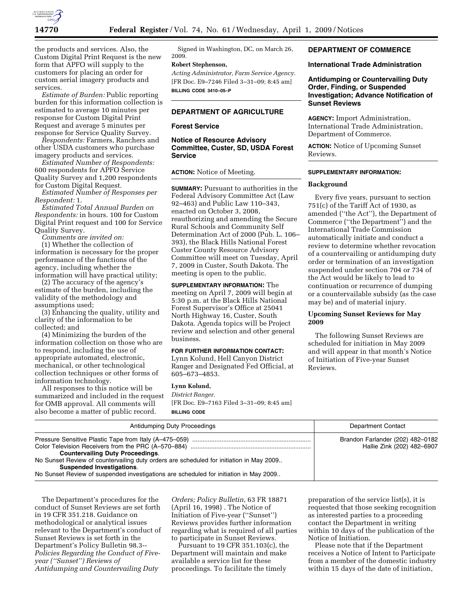

the products and services. Also, the Custom Digital Print Request is the new form that APFO will supply to the customers for placing an order for custom aerial imagery products and services.

*Estimate of Burden:* Public reporting burden for this information collection is estimated to average 10 minutes per response for Custom Digital Print Request and average 5 minutes per response for Service Quality Survey.

*Respondents:* Farmers, Ranchers and other USDA customers who purchase imagery products and services.

*Estimated Number of Respondents:*  600 respondents for APFO Service Quality Survey and 1,200 respondents for Custom Digital Request.

*Estimated Number of Responses per Respondent:* 1.

*Estimated Total Annual Burden on Respondents:* in hours. 100 for Custom Digital Print request and 100 for Service Quality Survey.

*Comments are invited on:* 

(1) Whether the collection of information is necessary for the proper performance of the functions of the agency, including whether the information will have practical utility;

(2) The accuracy of the agency's estimate of the burden, including the validity of the methodology and assumptions used;

(3) Enhancing the quality, utility and clarity of the information to be collected; and

(4) Minimizing the burden of the information collection on those who are to respond, including the use of appropriate automated, electronic, mechanical, or other technological collection techniques or other forms of information technology.

All responses to this notice will be summarized and included in the request for OMB approval. All comments will also become a matter of public record.

Signed in Washington, DC, on March 26, 2009.

# **Robert Stephenson,**

*Acting Administrator, Farm Service Agency.*  [FR Doc. E9–7246 Filed 3–31–09; 8:45 am] **BILLING CODE 3410–05–P** 

## **DEPARTMENT OF AGRICULTURE**

## **Forest Service**

## **Notice of Resource Advisory Committee, Custer, SD, USDA Forest Service**

#### **ACTION:** Notice of Meeting.

**SUMMARY:** Pursuant to authorities in the Federal Advisory Committee Act (Law 92–463) and Public Law 110–343, enacted on October 3, 2008, reauthorizing and amending the Secure Rural Schools and Community Self Determination Act of 2000 (Pub. L. 106– 393), the Black Hills National Forest Custer County Resource Advisory Committee will meet on Tuesday, April 7, 2009 in Custer, South Dakota. The meeting is open to the public.

**SUPPLEMENTARY INFORMATION:** The meeting on April 7, 2009 will begin at 5:30 p.m. at the Black Hills National Forest Supervisor's Office at 25041 North Highway 16, Custer, South Dakota. Agenda topics will be Project review and selection and other general business.

### **FOR FURTHER INFORMATION CONTACT:**

Lynn Kolund, Hell Canyon District Ranger and Designated Fed Official, at 605–673–4853.

## **Lynn Kolund,**

*District Ranger.*  [FR Doc. E9–7163 Filed 3–31–09; 8:45 am] **BILLING CODE** 

## **DEPARTMENT OF COMMERCE**

#### **International Trade Administration**

**Antidumping or Countervailing Duty Order, Finding, or Suspended Investigation; Advance Notification of Sunset Reviews** 

**AGENCY:** Import Administration, International Trade Administration, Department of Commerce.

**ACTION:** Notice of Upcoming Sunset Reviews.

### **SUPPLEMENTARY INFORMATION:**

## **Background**

Every five years, pursuant to section  $751(c)$  of the Tariff Act of 1930, as amended (''the Act''), the Department of Commerce (''the Department'') and the International Trade Commission automatically initiate and conduct a review to determine whether revocation of a countervailing or antidumping duty order or termination of an investigation suspended under section 704 or 734 of the Act would be likely to lead to continuation or recurrence of dumping or a countervailable subsidy (as the case may be) and of material injury.

## **Upcoming Sunset Reviews for May 2009**

The following Sunset Reviews are scheduled for initiation in May 2009 and will appear in that month's Notice of Initiation of Five-year Sunset Reviews.

| Antidumping Duty Proceedings                                                                                                                                                                                                                                    | <b>Department Contact</b>                                      |
|-----------------------------------------------------------------------------------------------------------------------------------------------------------------------------------------------------------------------------------------------------------------|----------------------------------------------------------------|
| <b>Countervailing Duty Proceedings.</b><br>No Sunset Review of countervailing duty orders are scheduled for initiation in May 2009<br><b>Suspended Investigations.</b><br>No Sunset Review of suspended investigations are scheduled for initiation in May 2009 | Brandon Farlander (202) 482-0182<br>Hallie Zink (202) 482-6907 |

The Department's procedures for the conduct of Sunset Reviews are set forth in 19 CFR 351.218. Guidance on methodological or analytical issues relevant to the Department's conduct of Sunset Reviews is set forth in the Department's Policy Bulletin 98.3-- *Policies Regarding the Conduct of Fiveyear (''Sunset'') Reviews of Antidumping and Countervailing Duty* 

*Orders; Policy Bulletin*, 63 FR 18871 (April 16, 1998) . The Notice of Initiation of Five-year (''Sunset'') Reviews provides further information regarding what is required of all parties to participate in Sunset Reviews.

Pursuant to 19 CFR 351.103(c), the Department will maintain and make available a service list for these proceedings. To facilitate the timely

preparation of the service list(s), it is requested that those seeking recognition as interested parties to a proceeding contact the Department in writing within 10 days of the publication of the Notice of Initiation.

Please note that if the Department receives a Notice of Intent to Participate from a member of the domestic industry within 15 days of the date of initiation,